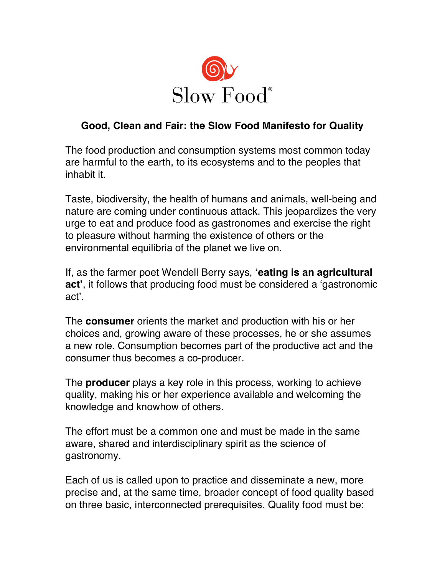

## **Good, Clean and Fair: the Slow Food Manifesto for Quality**

The food production and consumption systems most common today are harmful to the earth, to its ecosystems and to the peoples that inhabit it.

Taste, biodiversity, the health of humans and animals, well-being and nature are coming under continuous attack. This jeopardizes the very urge to eat and produce food as gastronomes and exercise the right to pleasure without harming the existence of others or the environmental equilibria of the planet we live on.

If, as the farmer poet Wendell Berry says, **!eating is an agricultural** act<sup>'</sup>, it follows that producing food must be considered a 'gastronomic act".

The **consumer** orients the market and production with his or her choices and, growing aware of these processes, he or she assumes a new role. Consumption becomes part of the productive act and the consumer thus becomes a co-producer.

The **producer** plays a key role in this process, working to achieve quality, making his or her experience available and welcoming the knowledge and knowhow of others.

The effort must be a common one and must be made in the same aware, shared and interdisciplinary spirit as the science of gastronomy.

Each of us is called upon to practice and disseminate a new, more precise and, at the same time, broader concept of food quality based on three basic, interconnected prerequisites. Quality food must be: